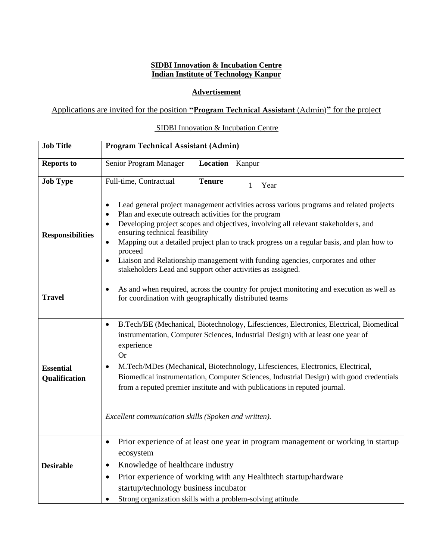#### **SIDBI Innovation & Incubation Centre Indian Institute of Technology Kanpur**

### **Advertisement**

# Applications are invited for the position **"Program Technical Assistant** (Admin)**"** for the project

# SIDBI Innovation & Incubation Centre

| <b>Job Title</b>                  | Program Technical Assistant (Admin)                                                                                                                                                                                                                                                                                                                                                                                                                                                                                                                                      |               |        |
|-----------------------------------|--------------------------------------------------------------------------------------------------------------------------------------------------------------------------------------------------------------------------------------------------------------------------------------------------------------------------------------------------------------------------------------------------------------------------------------------------------------------------------------------------------------------------------------------------------------------------|---------------|--------|
| <b>Reports to</b>                 | Senior Program Manager                                                                                                                                                                                                                                                                                                                                                                                                                                                                                                                                                   | Location      | Kanpur |
| <b>Job Type</b>                   | Full-time, Contractual                                                                                                                                                                                                                                                                                                                                                                                                                                                                                                                                                   | <b>Tenure</b> | 1 Year |
| <b>Responsibilities</b>           | Lead general project management activities across various programs and related projects<br>$\bullet$<br>Plan and execute outreach activities for the program<br>$\bullet$<br>Developing project scopes and objectives, involving all relevant stakeholders, and<br>ensuring technical feasibility<br>Mapping out a detailed project plan to track progress on a regular basis, and plan how to<br>proceed<br>Liaison and Relationship management with funding agencies, corporates and other<br>$\bullet$<br>stakeholders Lead and support other activities as assigned. |               |        |
| <b>Travel</b>                     | As and when required, across the country for project monitoring and execution as well as<br>for coordination with geographically distributed teams                                                                                                                                                                                                                                                                                                                                                                                                                       |               |        |
| <b>Essential</b><br>Qualification | B.Tech/BE (Mechanical, Biotechnology, Lifesciences, Electronics, Electrical, Biomedical<br>$\bullet$<br>instrumentation, Computer Sciences, Industrial Design) with at least one year of<br>experience<br><b>Or</b><br>M.Tech/MDes (Mechanical, Biotechnology, Lifesciences, Electronics, Electrical,<br>$\bullet$<br>Biomedical instrumentation, Computer Sciences, Industrial Design) with good credentials<br>from a reputed premier institute and with publications in reputed journal.<br>Excellent communication skills (Spoken and written).                      |               |        |
| <b>Desirable</b>                  | Prior experience of at least one year in program management or working in startup<br>$\bullet$<br>ecosystem<br>Knowledge of healthcare industry<br>٠<br>Prior experience of working with any Healthtech startup/hardware<br>$\bullet$<br>startup/technology business incubator<br>Strong organization skills with a problem-solving attitude.                                                                                                                                                                                                                            |               |        |